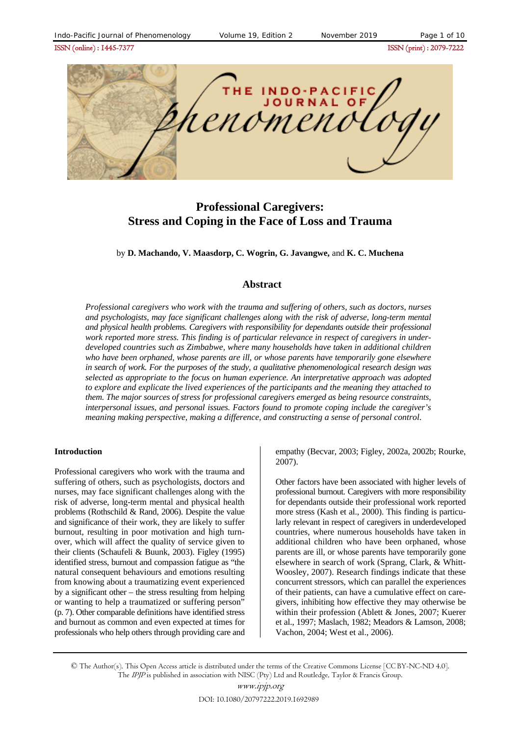ISSN (online) : 1445-7377ISSN (print) : 2079-7222



# **Professional Caregivers: Stress and Coping in the Face of Loss and Trauma**

by **D. Machando, V. Maasdorp, C. Wogrin, G. Javangwe,** and **K. C. Muchena**

# **Abstract**

*Professional caregivers who work with the trauma and suffering of others, such as doctors, nurses and psychologists, may face significant challenges along with the risk of adverse, long-term mental and physical health problems. Caregivers with responsibility for dependants outside their professional work reported more stress. This finding is of particular relevance in respect of caregivers in underdeveloped countries such as Zimbabwe, where many households have taken in additional children who have been orphaned, whose parents are ill, or whose parents have temporarily gone elsewhere in search of work. For the purposes of the study, a qualitative phenomenological research design was selected as appropriate to the focus on human experience. An interpretative approach was adopted to explore and explicate the lived experiences of the participants and the meaning they attached to them. The major sources of stress for professional caregivers emerged as being resource constraints, interpersonal issues, and personal issues. Factors found to promote coping include the caregiver's meaning making perspective, making a difference, and constructing a sense of personal control*.

#### **Introduction**

Professional caregivers who work with the trauma and suffering of others, such as psychologists, doctors and nurses, may face significant challenges along with the risk of adverse, long-term mental and physical health problems (Rothschild & Rand, 2006). Despite the value and significance of their work, they are likely to suffer burnout, resulting in poor motivation and high turnover, which will affect the quality of service given to their clients (Schaufeli & Buunk, 2003). Figley (1995) identified stress, burnout and compassion fatigue as "the natural consequent behaviours and emotions resulting from knowing about a traumatizing event experienced by a significant other – the stress resulting from helping or wanting to help a traumatized or suffering person" (p. 7). Other comparable definitions have identified stress and burnout as common and even expected at times for professionals who help others through providing care and empathy (Becvar, 2003; Figley, 2002a, 2002b; Rourke, 2007).

Other factors have been associated with higher levels of professional burnout. Caregivers with more responsibility for dependants outside their professional work reported more stress (Kash et al., 2000). This finding is particularly relevant in respect of caregivers in underdeveloped countries, where numerous households have taken in additional children who have been orphaned, whose parents are ill, or whose parents have temporarily gone elsewhere in search of work (Sprang, Clark, & Whitt-Woosley, 2007). Research findings indicate that these concurrent stressors, which can parallel the experiences of their patients, can have a cumulative effect on caregivers, inhibiting how effective they may otherwise be within their profession (Ablett & Jones, 2007; Kuerer et al., 1997; Maslach, 1982; Meadors & Lamson, 2008; Vachon, 2004; West et al., 2006).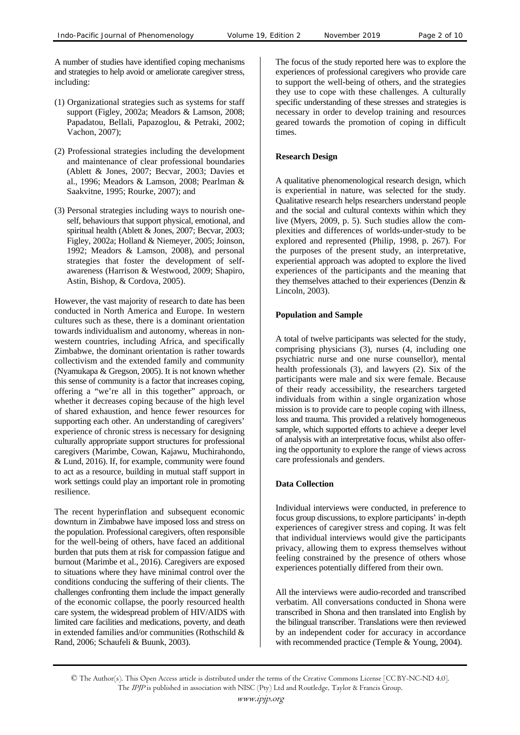A number of studies have identified coping mechanisms and strategies to help avoid or ameliorate caregiver stress, including:

- (1) Organizational strategies such as systems for staff support (Figley, 2002a; Meadors & Lamson, 2008; Papadatou, Bellali, Papazoglou, & Petraki, 2002; Vachon, 2007);
- (2) Professional strategies including the development and maintenance of clear professional boundaries (Ablett & Jones, 2007; Becvar, 2003; Davies et al., 1996; Meadors & Lamson, 2008; Pearlman & Saakvitne, 1995; Rourke, 2007); and
- (3) Personal strategies including ways to nourish oneself, behaviours that support physical, emotional, and spiritual health (Ablett & Jones, 2007; Becvar, 2003; Figley, 2002a; Holland & Niemeyer, 2005; Joinson, 1992; Meadors & Lamson, 2008), and personal strategies that foster the development of selfawareness (Harrison & Westwood, 2009; Shapiro, Astin, Bishop, & Cordova, 2005).

However, the vast majority of research to date has been conducted in North America and Europe. In western cultures such as these, there is a dominant orientation towards individualism and autonomy, whereas in nonwestern countries, including Africa, and specifically Zimbabwe, the dominant orientation is rather towards collectivism and the extended family and community (Nyamukapa & Gregson, 2005). It is not known whether this sense of community is a factor that increases coping, offering a "we're all in this together" approach, or whether it decreases coping because of the high level of shared exhaustion, and hence fewer resources for supporting each other. An understanding of caregivers' experience of chronic stress is necessary for designing culturally appropriate support structures for professional caregivers (Marimbe, Cowan, Kajawu, Muchirahondo, & Lund, 2016). If, for example, community were found to act as a resource, building in mutual staff support in work settings could play an important role in promoting resilience.

The recent hyperinflation and subsequent economic downturn in Zimbabwe have imposed loss and stress on the population. Professional caregivers, often responsible for the well-being of others, have faced an additional burden that puts them at risk for compassion fatigue and burnout (Marimbe et al., 2016). Caregivers are exposed to situations where they have minimal control over the conditions conducing the suffering of their clients. The challenges confronting them include the impact generally of the economic collapse, the poorly resourced health care system, the widespread problem of HIV/AIDS with limited care facilities and medications, poverty, and death in extended families and/or communities (Rothschild & Rand, 2006; Schaufeli & Buunk, 2003).

The focus of the study reported here was to explore the experiences of professional caregivers who provide care to support the well-being of others, and the strategies they use to cope with these challenges. A culturally specific understanding of these stresses and strategies is necessary in order to develop training and resources geared towards the promotion of coping in difficult times.

# **Research Design**

A qualitative phenomenological research design, which is experiential in nature, was selected for the study. Qualitative research helps researchers understand people and the social and cultural contexts within which they live (Myers, 2009, p. 5). Such studies allow the complexities and differences of worlds-under-study to be explored and represented (Philip, 1998, p. 267). For the purposes of the present study, an interpretative, experiential approach was adopted to explore the lived experiences of the participants and the meaning that they themselves attached to their experiences (Denzin & Lincoln, 2003).

# **Population and Sample**

A total of twelve participants was selected for the study, comprising physicians (3), nurses (4, including one psychiatric nurse and one nurse counsellor), mental health professionals (3), and lawyers (2). Six of the participants were male and six were female. Because of their ready accessibility, the researchers targeted individuals from within a single organization whose mission is to provide care to people coping with illness, loss and trauma. This provided a relatively homogeneous sample, which supported efforts to achieve a deeper level of analysis with an interpretative focus, whilst also offering the opportunity to explore the range of views across care professionals and genders.

# **Data Collection**

Individual interviews were conducted, in preference to focus group discussions, to explore participants' in-depth experiences of caregiver stress and coping. It was felt that individual interviews would give the participants privacy, allowing them to express themselves without feeling constrained by the presence of others whose experiences potentially differed from their own.

All the interviews were audio-recorded and transcribed verbatim. All conversations conducted in Shona were transcribed in Shona and then translated into English by the bilingual transcriber. Translations were then reviewed by an independent coder for accuracy in accordance with recommended practice (Temple & Young, 2004).

<sup>©</sup> The Author(s). This Open Access article is distributed under the terms of the Creative Commons License [CC BY-NC-ND 4.0]. The IPJP is published in association with NISC (Pty) Ltd and Routledge, Taylor & Francis Group.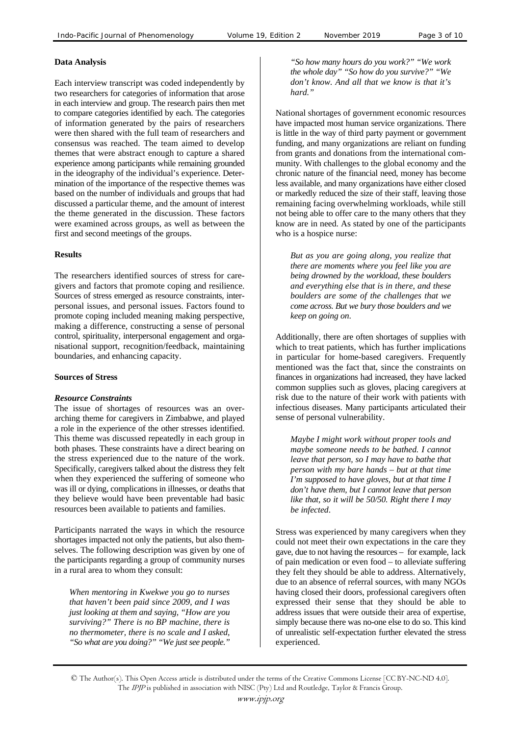# **Data Analysis**

Each interview transcript was coded independently by two researchers for categories of information that arose in each interview and group. The research pairs then met to compare categories identified by each. The categories of information generated by the pairs of researchers were then shared with the full team of researchers and consensus was reached. The team aimed to develop themes that were abstract enough to capture a shared experience among participants while remaining grounded in the ideography of the individual's experience. Determination of the importance of the respective themes was based on the number of individuals and groups that had discussed a particular theme, and the amount of interest the theme generated in the discussion. These factors were examined across groups, as well as between the first and second meetings of the groups.

# **Results**

The researchers identified sources of stress for caregivers and factors that promote coping and resilience. Sources of stress emerged as resource constraints, interpersonal issues, and personal issues. Factors found to promote coping included meaning making perspective, making a difference, constructing a sense of personal control, spirituality, interpersonal engagement and organisational support, recognition/feedback, maintaining boundaries, and enhancing capacity.

### **Sources of Stress**

# *Resource Constraints*

The issue of shortages of resources was an overarching theme for caregivers in Zimbabwe, and played a role in the experience of the other stresses identified. This theme was discussed repeatedly in each group in both phases. These constraints have a direct bearing on the stress experienced due to the nature of the work. Specifically, caregivers talked about the distress they felt when they experienced the suffering of someone who was ill or dying, complications in illnesses, or deaths that they believe would have been preventable had basic resources been available to patients and families.

Participants narrated the ways in which the resource shortages impacted not only the patients, but also themselves. The following description was given by one of the participants regarding a group of community nurses in a rural area to whom they consult:

*When mentoring in Kwekwe you go to nurses that haven't been paid since 2009, and I was just looking at them and saying, "How are you surviving?" There is no BP machine, there is no thermometer, there is no scale and I asked, "So what are you doing?" "We just see people."* 

*"So how many hours do you work?" "We work the whole day" "So how do you survive?" "We don't know. And all that we know is that it's hard."*

National shortages of government economic resources have impacted most human service organizations. There is little in the way of third party payment or government funding, and many organizations are reliant on funding from grants and donations from the international community. With challenges to the global economy and the chronic nature of the financial need, money has become less available, and many organizations have either closed or markedly reduced the size of their staff, leaving those remaining facing overwhelming workloads, while still not being able to offer care to the many others that they know are in need. As stated by one of the participants who is a hospice nurse:

*But as you are going along, you realize that there are moments where you feel like you are being drowned by the workload, these boulders and everything else that is in there, and these boulders are some of the challenges that we come across. But we bury those boulders and we keep on going on*.

Additionally, there are often shortages of supplies with which to treat patients, which has further implications in particular for home-based caregivers. Frequently mentioned was the fact that, since the constraints on finances in organizations had increased, they have lacked common supplies such as gloves, placing caregivers at risk due to the nature of their work with patients with infectious diseases. Many participants articulated their sense of personal vulnerability.

*Maybe I might work without proper tools and maybe someone needs to be bathed. I cannot leave that person, so I may have to bathe that person with my bare hands – but at that time I'm supposed to have gloves, but at that time I don't have them, but I cannot leave that person like that, so it will be 50/50. Right there I may be infected*.

Stress was experienced by many caregivers when they could not meet their own expectations in the care they gave, due to not having the resources – for example, lack of pain medication or even food – to alleviate suffering they felt they should be able to address. Alternatively, due to an absence of referral sources, with many NGOs having closed their doors, professional caregivers often expressed their sense that they should be able to address issues that were outside their area of expertise, simply because there was no-one else to do so. This kind of unrealistic self-expectation further elevated the stress experienced.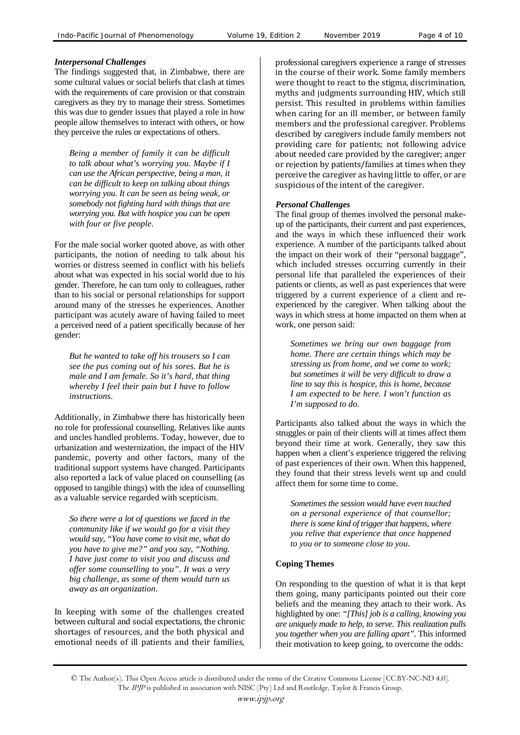# *Interpersonal Challenges*

The findings suggested that, in Zimbabwe, there are some cultural values or social beliefs that clash at times with the requirements of care provision or that constrain caregivers as they try to manage their stress. Sometimes this was due to gender issues that played a role in how people allow themselves to interact with others, or how they perceive the rules or expectations of others.

*Being a member of family it can be difficult to talk about what's worrying you. Maybe if I can use the African perspective, being a man, it can be difficult to keep on talking about things worrying you. It can be seen as being weak, or somebody not fighting hard with things that are worrying you. But with hospice you can be open with four or five people*.

For the male social worker quoted above, as with other participants, the notion of needing to talk about his worries or distress seemed in conflict with his beliefs about what was expected in his social world due to his gender. Therefore, he can turn only to colleagues, rather than to his social or personal relationships for support around many of the stresses he experiences. Another participant was acutely aware of having failed to meet a perceived need of a patient specifically because of her gender:

*But he wanted to take off his trousers so I can see the pus coming out of his sores. But he is male and I am female. So it's hard, that thing whereby I feel their pain but I have to follow instructions*.

Additionally, in Zimbabwe there has historically been no role for professional counselling. Relatives like aunts and uncles handled problems. Today, however, due to urbanization and westernization, the impact of the HIV pandemic, poverty and other factors, many of the traditional support systems have changed. Participants also reported a lack of value placed on counselling (as opposed to tangible things) with the idea of counselling as a valuable service regarded with scepticism.

*So there were a lot of questions we faced in the community like if we would go for a visit they would say, "You have come to visit me, what do you have to give me?" and you say, "Nothing. I have just come to visit you and discuss and offer some counselling to you". It was a very big challenge, as some of them would turn us away as an organization*.

In keeping with some of the challenges created between cultural and social expectations, the chronic shortages of resources, and the both physical and emotional needs of ill patients and their families, professional caregivers experience a range of stresses in the course of their work. Some family members were thought to react to the stigma, discrimination, myths and judgments surrounding HIV, which still persist. This resulted in problems within families when caring for an ill member, or between family members and the professional caregiver. Problems described by caregivers include family members not providing care for patients; not following advice about needed care provided by the caregiver; anger or rejection by patients/families at times when they perceive the caregiver as having little to offer, or are suspicious of the intent of the caregiver.

# *Personal Challenges*

The final group of themes involved the personal makeup of the participants, their current and past experiences, and the ways in which these influenced their work experience. A number of the participants talked about the impact on their work of their "personal baggage", which included stresses occurring currently in their personal life that paralleled the experiences of their patients or clients, as well as past experiences that were triggered by a current experience of a client and reexperienced by the caregiver. When talking about the ways in which stress at home impacted on them when at work, one person said:

*Sometimes we bring our own baggage from home. There are certain things which may be stressing us from home, and we come to work; but sometimes it will be very difficult to draw a line to say this is hospice, this is home, because I am expected to be here. I won't function as I'm supposed to do*.

Participants also talked about the ways in which the struggles or pain of their clients will at times affect them beyond their time at work. Generally, they saw this happen when a client's experience triggered the reliving of past experiences of their own. When this happened, they found that their stress levels went up and could affect them for some time to come.

*Sometimes the session would have even touched on a personal experience of that counsellor; there is some kind of trigger that happens, where you relive that experience that once happened to you or to someone close to you*.

# **Coping Themes**

On responding to the question of what it is that kept them going, many participants pointed out their core beliefs and the meaning they attach to their work. As highlighted by one: *"[This] job is a calling, knowing you are uniquely made to help, to serve. This realization pulls you together when you are falling apart".* This informed their motivation to keep going, to overcome the odds: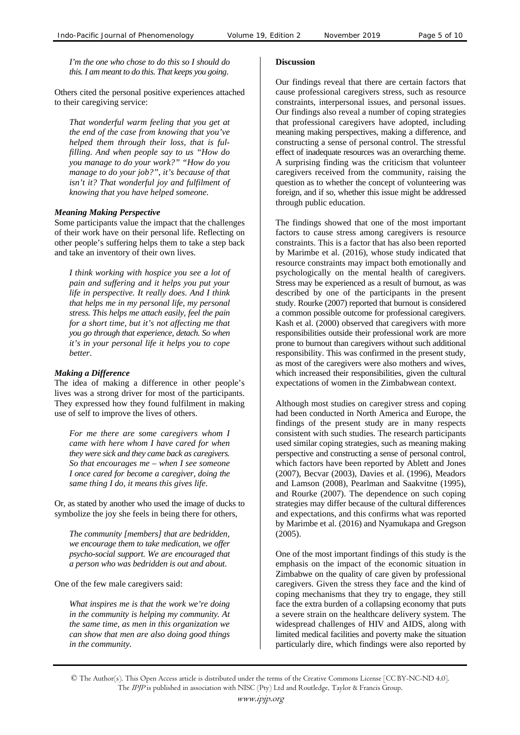*I'm the one who chose to do this so I should do this. I am meant to do this. That keeps you going*.

Others cited the personal positive experiences attached to their caregiving service:

*That wonderful warm feeling that you get at the end of the case from knowing that you've helped them through their loss, that is fulfilling. And when people say to us "How do you manage to do your work?" "How do you manage to do your job?", it's because of that isn't it? That wonderful joy and fulfilment of knowing that you have helped someone*.

### *Meaning Making Perspective*

Some participants value the impact that the challenges of their work have on their personal life. Reflecting on other people's suffering helps them to take a step back and take an inventory of their own lives.

*I think working with hospice you see a lot of pain and suffering and it helps you put your life in perspective. It really does. And I think that helps me in my personal life, my personal stress. This helps me attach easily, feel the pain for a short time, but it's not affecting me that you go through that experience, detach. So when it's in your personal life it helps you to cope better*.

### *Making a Difference*

The idea of making a difference in other people's lives was a strong driver for most of the participants. They expressed how they found fulfilment in making use of self to improve the lives of others.

*For me there are some caregivers whom I came with here whom I have cared for when they were sick and they came back as caregivers. So that encourages me – when I see someone I once cared for become a caregiver, doing the same thing I do, it means this gives life*.

Or, as stated by another who used the image of ducks to symbolize the joy she feels in being there for others,

*The community [members] that are bedridden, we encourage them to take medication, we offer psycho-social support. We are encouraged that a person who was bedridden is out and about*.

One of the few male caregivers said:

*What inspires me is that the work we're doing in the community is helping my community. At the same time, as men in this organization we can show that men are also doing good things in the community*.

### **Discussion**

Our findings reveal that there are certain factors that cause professional caregivers stress, such as resource constraints, interpersonal issues, and personal issues. Our findings also reveal a number of coping strategies that professional caregivers have adopted, including meaning making perspectives, making a difference, and constructing a sense of personal control. The stressful effect of inadequate resources was an overarching theme. A surprising finding was the criticism that volunteer caregivers received from the community, raising the question as to whether the concept of volunteering was foreign, and if so, whether this issue might be addressed through public education.

The findings showed that one of the most important factors to cause stress among caregivers is resource constraints. This is a factor that has also been reported by Marimbe et al. (2016), whose study indicated that resource constraints may impact both emotionally and psychologically on the mental health of caregivers. Stress may be experienced as a result of burnout, as was described by one of the participants in the present study. Rourke (2007) reported that burnout is considered a common possible outcome for professional caregivers. Kash et al. (2000) observed that caregivers with more responsibilities outside their professional work are more prone to burnout than caregivers without such additional responsibility. This was confirmed in the present study, as most of the caregivers were also mothers and wives, which increased their responsibilities, given the cultural expectations of women in the Zimbabwean context.

Although most studies on caregiver stress and coping had been conducted in North America and Europe, the findings of the present study are in many respects consistent with such studies. The research participants used similar coping strategies, such as meaning making perspective and constructing a sense of personal control, which factors have been reported by Ablett and Jones (2007), Becvar (2003), Davies et al. (1996), Meadors and Lamson (2008), Pearlman and Saakvitne (1995), and Rourke (2007). The dependence on such coping strategies may differ because of the cultural differences and expectations, and this confirms what was reported by Marimbe et al. (2016) and Nyamukapa and Gregson (2005).

One of the most important findings of this study is the emphasis on the impact of the economic situation in Zimbabwe on the quality of care given by professional caregivers. Given the stress they face and the kind of coping mechanisms that they try to engage, they still face the extra burden of a collapsing economy that puts a severe strain on the healthcare delivery system. The widespread challenges of HIV and AIDS, along with limited medical facilities and poverty make the situation particularly dire, which findings were also reported by

<sup>©</sup> The Author(s). This Open Access article is distributed under the terms of the Creative Commons License [CC BY-NC-ND 4.0]. The IPJP is published in association with NISC (Pty) Ltd and Routledge, Taylor & Francis Group.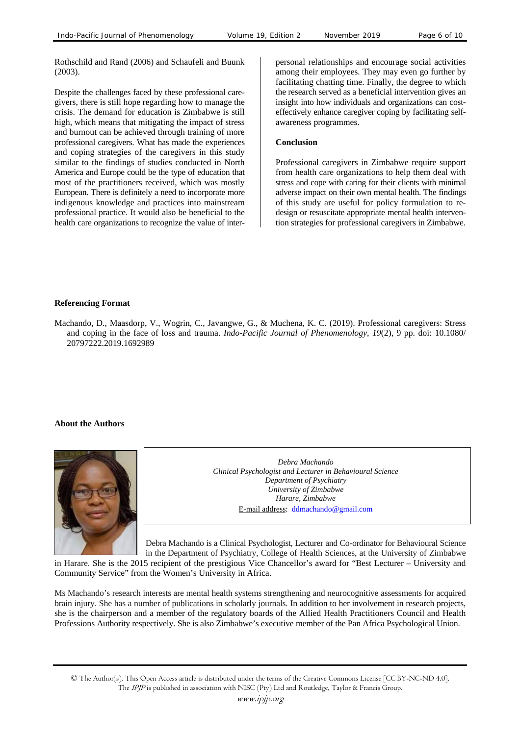Rothschild and Rand (2006) and Schaufeli and Buunk (2003).

Despite the challenges faced by these professional caregivers, there is still hope regarding how to manage the crisis. The demand for education is Zimbabwe is still high, which means that mitigating the impact of stress and burnout can be achieved through training of more professional caregivers. What has made the experiences and coping strategies of the caregivers in this study similar to the findings of studies conducted in North America and Europe could be the type of education that most of the practitioners received, which was mostly European. There is definitely a need to incorporate more indigenous knowledge and practices into mainstream professional practice. It would also be beneficial to the health care organizations to recognize the value of interpersonal relationships and encourage social activities among their employees. They may even go further by facilitating chatting time. Finally, the degree to which the research served as a beneficial intervention gives an insight into how individuals and organizations can costeffectively enhance caregiver coping by facilitating selfawareness programmes.

#### **Conclusion**

Professional caregivers in Zimbabwe require support from health care organizations to help them deal with stress and cope with caring for their clients with minimal adverse impact on their own mental health. The findings of this study are useful for policy formulation to redesign or resuscitate appropriate mental health intervention strategies for professional caregivers in Zimbabwe.

#### **Referencing Format**

Machando, D., Maasdorp, V., Wogrin, C., Javangwe, G., & Muchena, K. C. (2019). Professional caregivers: Stress and coping in the face of loss and trauma. *Indo-Pacific Journal of Phenomenology*, *19*(2), 9 pp. doi: 10.1080/ 20797222.2019.1692989

#### **About the Authors**



*Debra Machando Clinical Psychologist and Lecturer in Behavioural Science Department of Psychiatry University of Zimbabwe Harare, Zimbabwe*  E-mail address: ddmachando@gmail.com

Debra Machando is a Clinical Psychologist, Lecturer and Co-ordinator for Behavioural Science in the Department of Psychiatry, College of Health Sciences, at the University of Zimbabwe

in Harare. She is the 2015 recipient of the prestigious Vice Chancellor's award for "Best Lecturer – University and Community Service" from the Women's University in Africa.

Ms Machando's research interests are mental health systems strengthening and neurocognitive assessments for acquired brain injury. She has a number of publications in scholarly journals. In addition to her involvement in research projects, she is the chairperson and a member of the regulatory boards of the Allied Health Practitioners Council and Health Professions Authority respectively. She is also Zimbabwe's executive member of the Pan Africa Psychological Union.

<sup>©</sup> The Author(s). This Open Access article is distributed under the terms of the Creative Commons License [CC BY-NC-ND 4.0]. The IPJP is published in association with NISC (Pty) Ltd and Routledge, Taylor & Francis Group.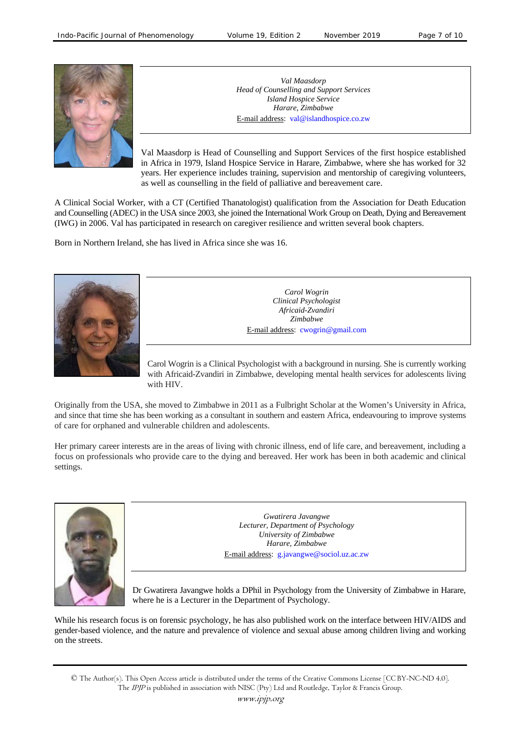

*Val Maasdorp Head of Counselling and Support Services Island Hospice Service Harare, Zimbabwe*  E-mail address: val@islandhospice.co.zw

Val Maasdorp is Head of Counselling and Support Services of the first hospice established in Africa in 1979, Island Hospice Service in Harare, Zimbabwe, where she has worked for 32 years. Her experience includes training, supervision and mentorship of caregiving volunteers, as well as counselling in the field of palliative and bereavement care.

A Clinical Social Worker, with a CT (Certified Thanatologist) qualification from the Association for Death Education and Counselling (ADEC) in the USA since 2003, she joined the International Work Group on Death, Dying and Bereavement (IWG) in 2006. Val has participated in research on caregiver resilience and written several book chapters.

Born in Northern Ireland, she has lived in Africa since she was 16.



*Carol Wogrin Clinical Psychologist Africaid-Zvandiri Zimbabwe*  E-mail address: cwogrin@gmail.com

Carol Wogrin is a Clinical Psychologist with a background in nursing. She is currently working with Africaid-Zvandiri in Zimbabwe, developing mental health services for adolescents living with HIV.

Originally from the USA, she moved to Zimbabwe in 2011 as a Fulbright Scholar at the Women's University in Africa, and since that time she has been working as a consultant in southern and eastern Africa, endeavouring to improve systems of care for orphaned and vulnerable children and adolescents.

Her primary career interests are in the areas of living with chronic illness, end of life care, and bereavement, including a focus on professionals who provide care to the dying and bereaved. Her work has been in both academic and clinical settings.



*Gwatirera Javangwe Lecturer, Department of Psychology University of Zimbabwe Harare, Zimbabwe*  E-mail address: g.javangwe@sociol.uz.ac.zw

Dr Gwatirera Javangwe holds a DPhil in Psychology from the University of Zimbabwe in Harare, where he is a Lecturer in the Department of Psychology.

While his research focus is on forensic psychology, he has also published work on the interface between HIV/AIDS and gender-based violence, and the nature and prevalence of violence and sexual abuse among children living and working on the streets.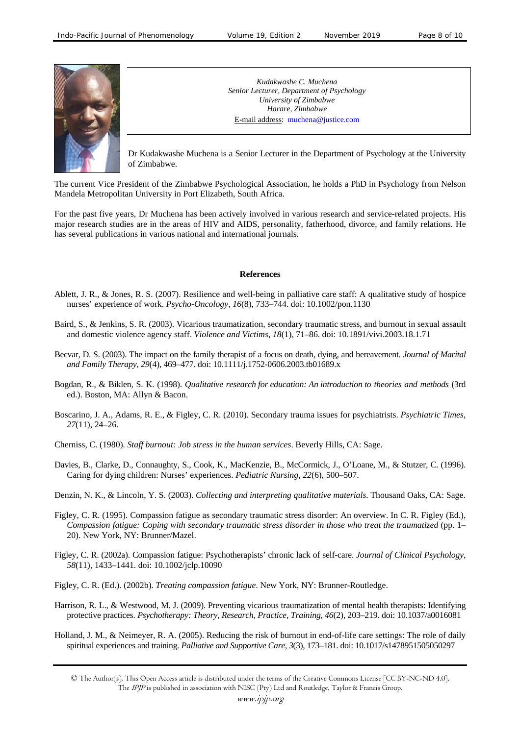

*Kudakwashe C. Muchena Senior Lecturer, Department of Psychology University of Zimbabwe Harare, Zimbabwe*  E-mail address: muchena@justice.com

Dr Kudakwashe Muchena is a Senior Lecturer in the Department of Psychology at the University of Zimbabwe.

The current Vice President of the Zimbabwe Psychological Association, he holds a PhD in Psychology from Nelson Mandela Metropolitan University in Port Elizabeth, South Africa.

For the past five years, Dr Muchena has been actively involved in various research and service-related projects. His major research studies are in the areas of HIV and AIDS, personality, fatherhood, divorce, and family relations. He has several publications in various national and international journals.

### **References**

- Ablett, J. R., & Jones, R. S. (2007). Resilience and well-being in palliative care staff: A qualitative study of hospice nurses' experience of work. *Psycho-Oncology*, *16*(8), 733–744. doi: 10.1002/pon.1130
- Baird, S., & Jenkins, S. R. (2003). Vicarious traumatization, secondary traumatic stress, and burnout in sexual assault and domestic violence agency staff. *Violence and Victims*, *18*(1), 71–86. doi: 10.1891/vivi.2003.18.1.71
- Becvar, D. S. (2003). The impact on the family therapist of a focus on death, dying, and bereavement. *Journal of Marital and Family Therapy*, *29*(4), 469–477. doi: 10.1111/j.1752-0606.2003.tb01689.x
- Bogdan, R., & Biklen, S. K. (1998). *Qualitative research for education: An introduction to theories and methods* (3rd ed.). Boston, MA: Allyn & Bacon.
- Boscarino, J. A., Adams, R. E., & Figley, C. R. (2010). Secondary trauma issues for psychiatrists. *Psychiatric Times*, *27*(11), 24–26.
- Cherniss, C. (1980). *Staff burnout: Job stress in the human services*. Beverly Hills, CA: Sage.
- Davies, B., Clarke, D., Connaughty, S., Cook, K., MacKenzie, B., McCormick, J., O'Loane, M., & Stutzer, C. (1996). Caring for dying children: Nurses' experiences. *Pediatric Nursing*, *22*(6), 500–507.
- Denzin, N. K., & Lincoln, Y. S. (2003). *Collecting and interpreting qualitative materials*. Thousand Oaks, CA: Sage.
- Figley, C. R. (1995). Compassion fatigue as secondary traumatic stress disorder: An overview. In C. R. Figley (Ed.), *Compassion fatigue: Coping with secondary traumatic stress disorder in those who treat the traumatized* (pp. 1– 20). New York, NY: Brunner/Mazel.
- Figley, C. R. (2002a). Compassion fatigue: Psychotherapists' chronic lack of self-care. *Journal of Clinical Psychology*, *58*(11), 1433–1441. doi: 10.1002/jclp.10090
- Figley, C. R. (Ed.). (2002b). *Treating compassion fatigue*. New York, NY: Brunner-Routledge.
- Harrison, R. L., & Westwood, M. J. (2009). Preventing vicarious traumatization of mental health therapists: Identifying protective practices. *Psychotherapy: Theory, Research, Practice, Training*, *46*(2), 203–219. doi: 10.1037/a0016081
- Holland, J. M., & Neimeyer, R. A. (2005). Reducing the risk of burnout in end-of-life care settings: The role of daily spiritual experiences and training. *Palliative and Supportive Care*, *3*(3), 173–181. doi: 10.1017/s1478951505050297

<sup>©</sup> The Author(s). This Open Access article is distributed under the terms of the Creative Commons License [CC BY-NC-ND 4.0]. The IPJP is published in association with NISC (Pty) Ltd and Routledge, Taylor & Francis Group.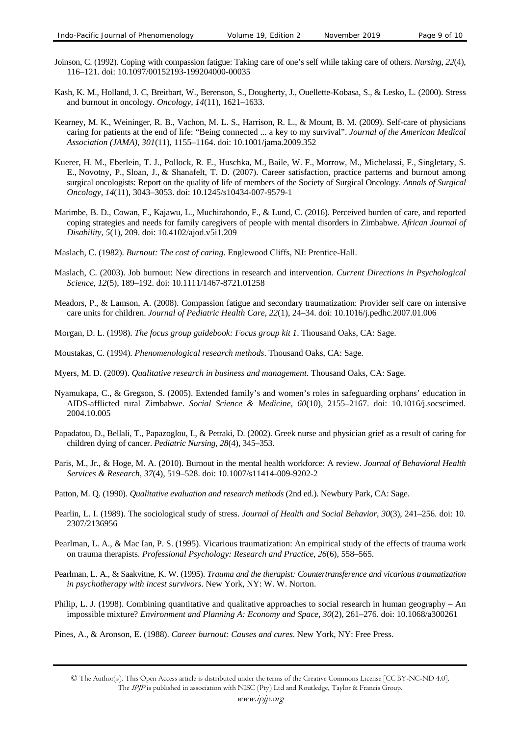- Joinson, C. (1992). Coping with compassion fatigue: Taking care of one's self while taking care of others. *Nursing*, *22*(4), 116–121. doi: 10.1097/00152193-199204000-00035
- Kash, K. M., Holland, J. C, Breitbart, W., Berenson, S., Dougherty, J., Ouellette-Kobasa, S., & Lesko, L. (2000). Stress and burnout in oncology. *Oncology*, *14*(11), 1621–1633.
- Kearney, M. K., Weininger, R. B., Vachon, M. L. S., Harrison, R. L., & Mount, B. M. (2009). Self-care of physicians caring for patients at the end of life: "Being connected ... a key to my survival". *Journal of the American Medical Association (JAMA)*, *301*(11), 1155–1164. doi: 10.1001/jama.2009.352
- Kuerer, H. M., Eberlein, T. J., Pollock, R. E., Huschka, M., Baile, W. F., Morrow, M., Michelassi, F., Singletary, S. E., Novotny, P., Sloan, J., & Shanafelt, T. D. (2007). Career satisfaction, practice patterns and burnout among surgical oncologists: Report on the quality of life of members of the Society of Surgical Oncology. *Annals of Surgical Oncology*, *14*(11), 3043–3053. doi: 10.1245/s10434-007-9579-1
- Marimbe, B. D., Cowan, F., Kajawu, L., Muchirahondo, F., & Lund, C. (2016). Perceived burden of care, and reported coping strategies and needs for family caregivers of people with mental disorders in Zimbabwe. *African Journal of Disability*, *5*(1), 209. doi: 10.4102/ajod.v5i1.209
- Maslach, C. (1982). *Burnout: The cost of caring*. Englewood Cliffs, NJ: Prentice-Hall.
- Maslach, C. (2003). Job burnout: New directions in research and intervention. *Current Directions in Psychological Science*, *12*(5), 189–192. doi: 10.1111/1467-8721.01258
- Meadors, P., & Lamson, A. (2008). Compassion fatigue and secondary traumatization: Provider self care on intensive care units for children. *Journal of Pediatric Health Care*, *22*(1), 24–34. doi: 10.1016/j.pedhc.2007.01.006
- Morgan, D. L. (1998). *The focus group guidebook: Focus group kit 1*. Thousand Oaks, CA: Sage.
- Moustakas, C. (1994). *Phenomenological research methods*. Thousand Oaks, CA: Sage.
- Myers, M. D. (2009). *Qualitative research in business and management*. Thousand Oaks, CA: Sage.
- Nyamukapa, C., & Gregson, S. (2005). Extended family's and women's roles in safeguarding orphans' education in AIDS-afflicted rural Zimbabwe. *Social Science & Medicine*, *60*(10), 2155–2167. doi: 10.1016/j.socscimed. 2004.10.005
- Papadatou, D., Bellali, T., Papazoglou, I., & Petraki, D. (2002). Greek nurse and physician grief as a result of caring for children dying of cancer. *Pediatric Nursing*, *28*(4), 345–353.
- Paris, M., Jr., & Hoge, M. A. (2010). Burnout in the mental health workforce: A review. *Journal of Behavioral Health Services & Research*, *37*(4), 519–528. doi: 10.1007/s11414-009-9202-2
- Patton, M. Q. (1990). *Qualitative evaluation and research methods* (2nd ed.). Newbury Park, CA: Sage.
- Pearlin, L. I. (1989). The sociological study of stress. *Journal of Health and Social Behavior*, *30*(3), 241–256. doi: 10. 2307/2136956
- Pearlman, L. A., & Mac Ian, P. S. (1995). Vicarious traumatization: An empirical study of the effects of trauma work on trauma therapists. *Professional Psychology: Research and Practice*, *26*(6), 558–565.
- Pearlman, L. A., & Saakvitne, K. W. (1995). *Trauma and the therapist: Countertransference and vicarious traumatization in psychotherapy with incest survivors*. New York, NY: W. W. Norton.
- Philip, L. J. (1998). Combining quantitative and qualitative approaches to social research in human geography An impossible mixture? *Environment and Planning A: Economy and Space*, *30*(2), 261–276. doi: 10.1068/a300261
- Pines, A., & Aronson, E. (1988). *Career burnout: Causes and cures*. New York, NY: Free Press.

<sup>©</sup> The Author(s). This Open Access article is distributed under the terms of the Creative Commons License [CC BY-NC-ND 4.0]. The IPJP is published in association with NISC (Pty) Ltd and Routledge, Taylor & Francis Group.